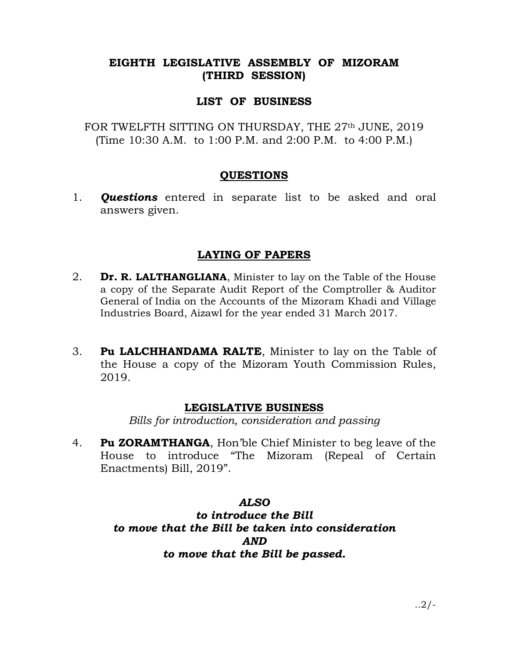## EIGHTH LEGISLATIVE ASSEMBLY OF MIZORAM (THIRD SESSION)

#### LIST OF BUSINESS

FOR TWELFTH SITTING ON THURSDAY, THE 27<sup>th</sup> JUNE, 2019 (Time 10:30 A.M. to 1:00 P.M. and 2:00 P.M. to 4:00 P.M.)

#### QUESTIONS

1. **Questions** entered in separate list to be asked and oral answers given.

## LAYING OF PAPERS

- 2. **Dr. R. LALTHANGLIANA**, Minister to lay on the Table of the House a copy of the Separate Audit Report of the Comptroller & Auditor General of India on the Accounts of the Mizoram Khadi and Village Industries Board, Aizawl for the year ended 31 March 2017.
- 3. Pu LALCHHANDAMA RALTE, Minister to lay on the Table of the House a copy of the Mizoram Youth Commission Rules, 2019.

## LEGISLATIVE BUSINESS

Bills for introduction, consideration and passing

4. **Pu ZORAMTHANGA**, Hon'ble Chief Minister to beg leave of the House to introduce "The Mizoram (Repeal of Certain Enactments) Bill, 2019".

## ALSO to introduce the Bill to move that the Bill be taken into consideration AND to move that the Bill be passed.